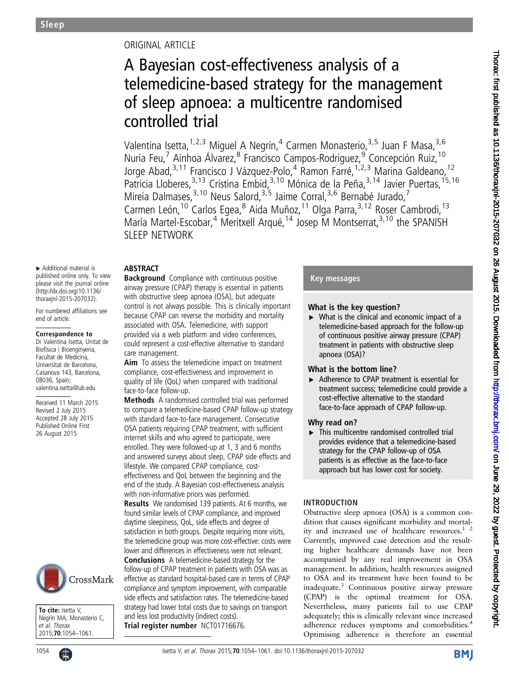# ORIGINAL ARTICLE

# A Bayesian cost-effectiveness analysis of a telemedicine-based strategy for the management of sleep apnoea: a multicentre randomised controlled trial

Valentina Isetta, <sup>1,2,3</sup> Miguel A Negrín, <sup>4</sup> Carmen Monasterio, <sup>3,5</sup> Juan F Masa, <sup>3,6</sup> Nuria Feu,<sup>7</sup> Ainhoa Álvarez,<sup>8</sup> Francisco Campos-Rodriguez,<sup>9</sup> Concepción Ruiz, <sup>10</sup> Jorge Abad,<sup>3,11</sup> Francisco J Vázquez-Polo,<sup>4</sup> Ramon Farré,<sup>1,2,3</sup> Marina Galdeano,<sup>12</sup> Patricia Lloberes,<sup>3,13</sup> Cristina Embid,<sup>3,10</sup> Mónica de la Peña,<sup>3,14</sup> Javier Puertas,<sup>15,16</sup> Mireia Dalmases,<sup>3,10</sup> Neus Salord,<sup>3,5</sup> Jaime Corral,<sup>3,6</sup> Bernabé Jurado,<sup>7</sup> Carmen León,<sup>10</sup> Carlos Egea,<sup>8</sup> Aida Muñoz,<sup>11</sup> Olga Parra,<sup>3,12</sup> Roser Cambrodi,<sup>13</sup> María Martel-Escobar, <sup>4</sup> Meritxell Arqué, <sup>14</sup> Josep M Montserrat, <sup>3, 10</sup> the SPANISH SLEEP NETWORK

#### ABSTRACT **Background** Compliance with continuous positive

▸ Additional material is published online only. To view please visit the journal online [\(http://dx.doi.org/10.1136/](http://dx.doi.org/10.1136/thoraxjnl-2015-207032) [thoraxjnl-2015-207032\)](http://dx.doi.org/10.1136/thoraxjnl-2015-207032).

For numbered affiliations see end of article.

#### Correspondence to

Dr Valentina Isetta, Unitat de Biofísica i Bioenginyeria, Facultat de Medicina, Universitat de Barcelona, Casanova 143, Barcelona, 08036, Spain; valentina.isetta@ub.edu

Received 11 March 2015 Revised 2 July 2015 Accepted 28 July 2015 Published Online First 26 August 2015



To cite: Isetta V, Negrín MA, Monasterio C, et al. Thorax 2015;70:1054–1061.

airway pressure (CPAP) therapy is essential in patients with obstructive sleep apnoea (OSA), but adequate control is not always possible. This is clinically important because CPAP can reverse the morbidity and mortality associated with OSA. Telemedicine, with support provided via a web platform and video conferences, could represent a cost-effective alternative to standard care management.

Aim To assess the telemedicine impact on treatment compliance, cost-effectiveness and improvement in quality of life (QoL) when compared with traditional face-to-face follow-up.

Methods A randomised controlled trial was performed to compare a telemedicine-based CPAP follow-up strategy with standard face-to-face management. Consecutive OSA patients requiring CPAP treatment, with sufficient internet skills and who agreed to participate, were enrolled. They were followed-up at 1, 3 and 6 months and answered surveys about sleep, CPAP side effects and lifestyle. We compared CPAP compliance, costeffectiveness and QoL between the beginning and the end of the study. A Bayesian cost-effectiveness analysis with non-informative priors was performed.

Results We randomised 139 patients. At 6 months, we found similar levels of CPAP compliance, and improved daytime sleepiness, QoL, side effects and degree of satisfaction in both groups. Despite requiring more visits, the telemedicine group was more cost-effective: costs were lower and differences in effectiveness were not relevant.

Conclusions A telemedicine-based strategy for the follow-up of CPAP treatment in patients with OSA was as effective as standard hospital-based care in terms of CPAP compliance and symptom improvement, with comparable side effects and satisfaction rates. The telemedicine-based strategy had lower total costs due to savings on transport and less lost productivity (indirect costs). Trial register number NCT01716676.

## Key messages

## What is the key question?

 $\triangleright$  What is the clinical and economic impact of a telemedicine-based approach for the follow-up of continuous positive airway pressure (CPAP) treatment in patients with obstructive sleep apnoea (OSA)?

## What is the bottom line?

Adherence to CPAP treatment is essential for treatment success; telemedicine could provide a cost-effective alternative to the standard face-to-face approach of CPAP follow-up.

## Why read on?

▸ This multicentre randomised controlled trial provides evidence that a telemedicine-based strategy for the CPAP follow-up of OSA patients is as effective as the face-to-face approach but has lower cost for society.

## INTRODUCTION

Obstructive sleep apnoea (OSA) is a common condition that causes significant morbidity and mortality and increased use of healthcare resources. $12$ Currently, improved case detection and the resulting higher healthcare demands have not been accompanied by any real improvement in OSA management. In addition, health resources assigned to OSA and its treatment have been found to be inadequate.<sup>[3](#page-7-0)</sup> Continuous positive airway pressure (CPAP) is the optimal treatment for OSA. Nevertheless, many patients fail to use CPAP adequately; this is clinically relevant since increased adherence reduces symptoms and comorbidities.<sup>[4](#page-7-0)</sup> Optimising adherence is therefore an essential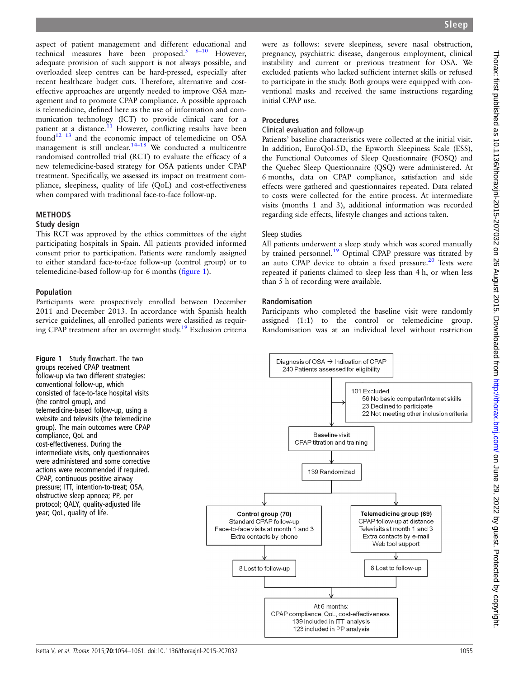<span id="page-1-0"></span>aspect of patient management and different educational and technical measures have been proposed.<sup>[5](#page-7-0) 6–[10](#page-7-0)</sup> However, adequate provision of such support is not always possible, and overloaded sleep centres can be hard-pressed, especially after recent healthcare budget cuts. Therefore, alternative and costeffective approaches are urgently needed to improve OSA management and to promote CPAP compliance. A possible approach is telemedicine, defined here as the use of information and communication technology (ICT) to provide clinical care for a patient at a distance.<sup>[11](#page-7-0)</sup> However, conflicting results have been  $f$ ound<sup>12</sup> <sup>13</sup> and the economic impact of telemedicine on OSA management is still unclear.<sup>[14](#page-7-0)–18</sup> We conducted a multicentre randomised controlled trial (RCT) to evaluate the efficacy of a new telemedicine-based strategy for OSA patients under CPAP treatment. Specifically, we assessed its impact on treatment compliance, sleepiness, quality of life (QoL) and cost-effectiveness when compared with traditional face-to-face follow-up.

### METHODS

#### Study design

This RCT was approved by the ethics committees of the eight participating hospitals in Spain. All patients provided informed consent prior to participation. Patients were randomly assigned to either standard face-to-face follow-up (control group) or to telemedicine-based follow-up for 6 months (figure 1).

#### Population

Participants were prospectively enrolled between December 2011 and December 2013. In accordance with Spanish health service guidelines, all enrolled patients were classified as requiring CPAP treatment after an overnight study.[19](#page-7-0) Exclusion criteria

Figure 1 Study flowchart. The two groups received CPAP treatment follow-up via two different strategies: conventional follow-up, which consisted of face-to-face hospital visits (the control group), and telemedicine-based follow-up, using a website and televisits (the telemedicine group). The main outcomes were CPAP compliance, QoL and cost-effectiveness. During the intermediate visits, only questionnaires were administered and some corrective actions were recommended if required. CPAP, continuous positive airway pressure; ITT, intention-to-treat; OSA, obstructive sleep apnoea; PP, per protocol; QALY, quality-adjusted life year; QoL, quality of life.

were as follows: severe sleepiness, severe nasal obstruction, pregnancy, psychiatric disease, dangerous employment, clinical instability and current or previous treatment for OSA. We excluded patients who lacked sufficient internet skills or refused to participate in the study. Both groups were equipped with conventional masks and received the same instructions regarding initial CPAP use.

### Procedures

### Clinical evaluation and follow-up

Patients' baseline characteristics were collected at the initial visit. In addition, EuroQol-5D, the Epworth Sleepiness Scale (ESS), the Functional Outcomes of Sleep Questionnaire (FOSQ) and the Quebec Sleep Questionnaire (QSQ) were administered. At 6 months, data on CPAP compliance, satisfaction and side effects were gathered and questionnaires repeated. Data related to costs were collected for the entire process. At intermediate visits (months 1 and 3), additional information was recorded regarding side effects, lifestyle changes and actions taken.

#### Sleep studies

All patients underwent a sleep study which was scored manually by trained personnel.<sup>19</sup> Optimal CPAP pressure was titrated by an auto CPAP device to obtain a fixed pressure.<sup>[20](#page-7-0)</sup> Tests were repeated if patients claimed to sleep less than 4 h, or when less than 5 h of recording were available.

### Randomisation

Participants who completed the baseline visit were randomly assigned (1:1) to the control or telemedicine group. Randomisation was at an individual level without restriction

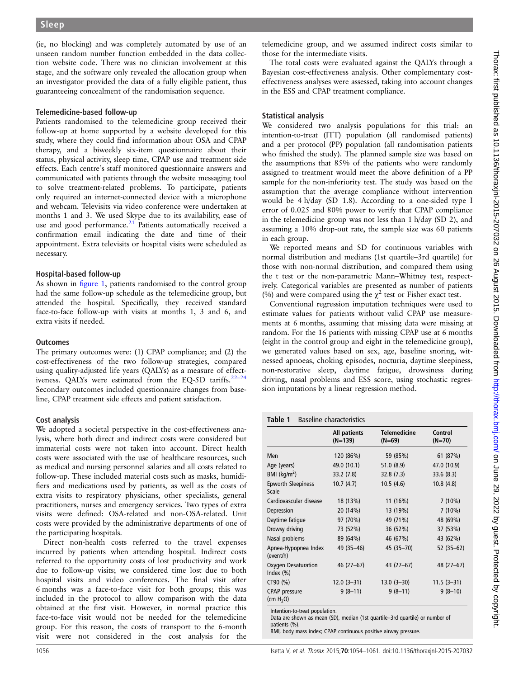<span id="page-2-0"></span>(ie, no blocking) and was completely automated by use of an unseen random number function embedded in the data collection website code. There was no clinician involvement at this stage, and the software only revealed the allocation group when an investigator provided the data of a fully eligible patient, thus guaranteeing concealment of the randomisation sequence.

#### Telemedicine-based follow-up

Patients randomised to the telemedicine group received their follow-up at home supported by a website developed for this study, where they could find information about OSA and CPAP therapy, and a biweekly six-item questionnaire about their status, physical activity, sleep time, CPAP use and treatment side effects. Each centre's staff monitored questionnaire answers and communicated with patients through the website messaging tool to solve treatment-related problems. To participate, patients only required an internet-connected device with a microphone and webcam. Televisits via video conference were undertaken at months 1 and 3. We used Skype due to its availability, ease of use and good performance.<sup>[21](#page-7-0)</sup> Patients automatically received a confirmation email indicating the date and time of their appointment. Extra televisits or hospital visits were scheduled as necessary.

## Hospital-based follow-up

As shown in fi[gure 1,](#page-1-0) patients randomised to the control group had the same follow-up schedule as the telemedicine group, but attended the hospital. Specifically, they received standard face-to-face follow-up with visits at months 1, 3 and 6, and extra visits if needed.

## **Outcomes**

The primary outcomes were: (1) CPAP compliance; and (2) the cost-effectiveness of the two follow-up strategies, compared using quality-adjusted life years (QALYs) as a measure of effectiveness. QALYs were estimated from the EQ-5D tariffs. $22-24$  $22-24$ Secondary outcomes included questionnaire changes from baseline, CPAP treatment side effects and patient satisfaction.

## Cost analysis

We adopted a societal perspective in the cost-effectiveness analysis, where both direct and indirect costs were considered but immaterial costs were not taken into account. Direct health costs were associated with the use of healthcare resources, such as medical and nursing personnel salaries and all costs related to follow-up. These included material costs such as masks, humidifiers and medications used by patients, as well as the costs of extra visits to respiratory physicians, other specialists, general practitioners, nurses and emergency services. Two types of extra visits were defined: OSA-related and non-OSA-related. Unit costs were provided by the administrative departments of one of the participating hospitals.

Direct non-health costs referred to the travel expenses incurred by patients when attending hospital. Indirect costs referred to the opportunity costs of lost productivity and work due to follow-up visits; we considered time lost due to both hospital visits and video conferences. The final visit after 6 months was a face-to-face visit for both groups; this was included in the protocol to allow comparison with the data obtained at the first visit. However, in normal practice this face-to-face visit would not be needed for the telemedicine group. For this reason, the costs of transport to the 6-month visit were not considered in the cost analysis for the

telemedicine group, and we assumed indirect costs similar to those for the intermediate visits.

The total costs were evaluated against the QALYs through a Bayesian cost-effectiveness analysis. Other complementary costeffectiveness analyses were assessed, taking into account changes in the ESS and CPAP treatment compliance.

## Statistical analysis

We considered two analysis populations for this trial: an intention-to-treat (ITT) population (all randomised patients) and a per protocol (PP) population (all randomisation patients who finished the study). The planned sample size was based on the assumptions that 85% of the patients who were randomly assigned to treatment would meet the above definition of a PP sample for the non-inferiority test. The study was based on the assumption that the average compliance without intervention would be 4 h/day (SD 1.8). According to a one-sided type I error of 0.025 and 80% power to verify that CPAP compliance in the telemedicine group was not less than 1 h/day (SD 2), and assuming a 10% drop-out rate, the sample size was 60 patients in each group.

We reported means and SD for continuous variables with normal distribution and medians (1st quartile–3rd quartile) for those with non-normal distribution, and compared them using the t test or the non-parametric Mann–Whitney test, respectively. Categorical variables are presented as number of patients (%) and were compared using the  $\chi^2$  test or Fisher exact test.

Conventional regression imputation techniques were used to estimate values for patients without valid CPAP use measurements at 6 months, assuming that missing data were missing at random. For the 16 patients with missing CPAP use at 6 months (eight in the control group and eight in the telemedicine group), we generated values based on sex, age, baseline snoring, witnessed apnoeas, choking episodes, nocturia, daytime sleepiness, non-restorative sleep, daytime fatigue, drowsiness during driving, nasal problems and ESS score, using stochastic regression imputations by a linear regression method.

### Table 1 Baseline characteristics

|                                               | <b>All patients</b><br>$(N=139)$ | <b>Telemedicine</b><br>$(N=69)$ | Control<br>$(N=70)$ |
|-----------------------------------------------|----------------------------------|---------------------------------|---------------------|
| Men                                           | 120 (86%)                        | 59 (85%)                        | 61 (87%)            |
| Age (years)                                   | 49.0 (10.1)                      | 51.0(8.9)                       | 47.0 (10.9)         |
| BMI ( $kg/m2$ )                               | 33.2 (7.8)                       | 32.8(7.3)                       | 33.6(8.3)           |
| <b>Epworth Sleepiness</b><br>Scale            | 10.7(4.7)                        | 10.5(4.6)                       | 10.8(4.8)           |
| Cardiovascular disease                        | 18 (13%)                         | 11 (16%)                        | $7(10\%)$           |
| Depression                                    | 20 (14%)                         | 13 (19%)                        | $7(10\%)$           |
| Daytime fatique                               | 97 (70%)                         | 49 (71%)                        | 48 (69%)            |
| Drowsy driving                                | 73 (52%)                         | 36 (52%)                        | 37 (53%)            |
| Nasal problems                                | 89 (64%)                         | 46 (67%)                        | 43 (62%)            |
| Apnea-Hypopnea Index<br>(event/h)             | 49 (35-46)                       | 45 (35-70)                      | $52(35-62)$         |
| Oxygen Desaturation<br>Index $(\% )$          | 46 (27-67)                       | 43 (27-67)                      | 48 (27-67)          |
| CT90 (%)                                      | $12.0(3-31)$                     | $13.0(3-30)$                    | $11.5(3-31)$        |
| <b>CPAP</b> pressure<br>(cm H <sub>2</sub> O) | $9(8-11)$                        | $9(8-11)$                       | $9(8-10)$           |

Intention-to-treat population. Data are shown as mean (SD), median (1st quartile–3rd quartile) or number of patients (%).

BMI, body mass index; CPAP continuous positive airway pressure.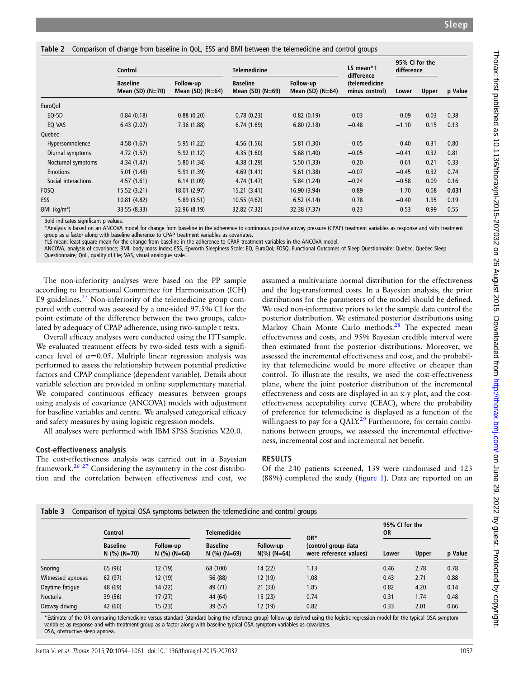<span id="page-3-0"></span>Table 2 Comparison of change from baseline in QoL, ESS and BMI between the telemedicine and control groups

|                     | Control                                 |                                 | <b>Telemedicine</b>                   |                                 | LS mean*t<br>difference         | 95% CI for the<br>difference |              |         |  |
|---------------------|-----------------------------------------|---------------------------------|---------------------------------------|---------------------------------|---------------------------------|------------------------------|--------------|---------|--|
|                     | <b>Baseline</b><br>Mean $(SD)$ $(N=70)$ | Follow-up<br>Mean $(SD)$ (N=64) | <b>Baseline</b><br>Mean $(SD)$ (N=69) | Follow-up<br>Mean $(SD)$ (N=64) | (telemedicine<br>minus control) | Lower                        | <b>Upper</b> | p Value |  |
| <b>EuroQol</b>      |                                         |                                 |                                       |                                 |                                 |                              |              |         |  |
| EQ-5D               | 0.84(0.18)                              | 0.88(0.20)                      | 0.78(0.23)                            | 0.82(0.19)                      | $-0.03$                         | $-0.09$                      | 0.03         | 0.38    |  |
| EQ VAS              | 6.43(2.07)                              | 7.36(1.88)                      | 6.74(1.69)                            | 6.80(2.18)                      | $-0.48$                         | $-1.10$                      | 0.15         | 0.13    |  |
| Quebec              |                                         |                                 |                                       |                                 |                                 |                              |              |         |  |
| Hypersomnolence     | 4.58(1.67)                              | 5.95(1.22)                      | 4.56(1.56)                            | 5.81(1.30)                      | $-0.05$                         | $-0.40$                      | 0.31         | 0.80    |  |
| Diurnal symptoms    | 4.72(1.57)                              | 5.92(1.12)                      | 4.35(1.60)                            | 5.68(1.40)                      | $-0.05$                         | $-0.41$                      | 0.32         | 0.81    |  |
| Nocturnal symptoms  | 4.34(1.47)                              | 5.80(1.34)                      | 4.38(1.29)                            | 5.50(1.33)                      | $-0.20$                         | $-0.61$                      | 0.21         | 0.33    |  |
| <b>Emotions</b>     | 5.01(1.48)                              | 5.91(1.39)                      | 4.69(1.41)                            | 5.61(1.38)                      | $-0.07$                         | $-0.45$                      | 0.32         | 0.74    |  |
| Social interactions | 4.57(1.61)                              | 6.14(1.09)                      | 4.74 (1.47)                           | 5.84(1.24)                      | $-0.24$                         | $-0.58$                      | 0.09         | 0.16    |  |
| <b>FOSQ</b>         | 15.52 (3.21)                            | 18.01 (2.97)                    | 15.21(3.41)                           | 16.90 (3.94)                    | $-0.89$                         | $-1.70$                      | $-0.08$      | 0.031   |  |
| <b>ESS</b>          | 10.81 (4.82)                            | 5.89(3.51)                      | 10.55(4.62)                           | 6.52(4.14)                      | 0.78                            | $-0.40$                      | 1.95         | 0.19    |  |
| BMI ( $kg/m2$ )     | 33.55 (8.33)                            | 32.96 (8.19)                    | 32.82 (7.32)                          | 32.38 (7.37)                    | 0.23                            | $-0.53$                      | 0.99         | 0.55    |  |

Bold indicates significant p values.

\*Analysis is based on an ANCOVA model for change from baseline in the adherence to continuous positive airway pressure (CPAP) treatment variables as response and with treatment group as a factor along with baseline adherence to CPAP treatment variables as covariates.

†LS mean: least square mean for the change from baseline in the adherence to CPAP treatment variables in the ANCOVA model.

ANCOVA, analysis of covariance; BMI, body mass index; ESS, Epworth Sleepiness Scale; EQ, EuroQol; FOSQ, Functional Outcomes of Sleep Questionnaire; Quebec, Quebec Sleep Questionnaire; QoL, quality of life; VAS, visual analogue scale.

The non-inferiority analyses were based on the PP sample according to International Committee for Harmonization (ICH) E9 guidelines. $25$  Non-inferiority of the telemedicine group compared with control was assessed by a one-sided 97.5% CI for the point estimate of the difference between the two groups, calculated by adequacy of CPAP adherence, using two-sample t tests.

Overall efficacy analyses were conducted using the ITT sample. We evaluated treatment effects by two-sided tests with a significance level of  $\alpha$ =0.05. Multiple linear regression analysis was performed to assess the relationship between potential predictive factors and CPAP compliance (dependent variable). Details about variable selection are provided in online supplementary material. We compared continuous efficacy measures between groups using analysis of covariance (ANCOVA) models with adjustment for baseline variables and centre. We analysed categorical efficacy and safety measures by using logistic regression models.

All analyses were performed with IBM SPSS Statistics V.20.0.

#### Cost-effectiveness analysis

The cost-effectiveness analysis was carried out in a Bayesian framework[.26 27](#page-7-0) Considering the asymmetry in the cost distribution and the correlation between effectiveness and cost, we

assumed a multivariate normal distribution for the effectiveness and the log-transformed costs. In a Bayesian analysis, the prior distributions for the parameters of the model should be defined. We used non-informative priors to let the sample data control the posterior distribution. We estimated posterior distributions using Markov Chain Monte Carlo methods.<sup>[28](#page-7-0)</sup> The expected mean effectiveness and costs, and 95% Bayesian credible interval were then estimated from the posterior distributions. Moreover, we assessed the incremental effectiveness and cost, and the probability that telemedicine would be more effective or cheaper than control. To illustrate the results, we used the cost-effectiveness plane, where the joint posterior distribution of the incremental effectiveness and costs are displayed in an x-y plot, and the costeffectiveness acceptability curve (CEAC), where the probability of preference for telemedicine is displayed as a function of the willingness to pay for a QALY.<sup>29</sup> Furthermore, for certain combinations between groups, we assessed the incremental effectiveness, incremental cost and incremental net benefit.

## RESULTS

Of the 240 patients screened, 139 were randomised and 123 (88%) completed the study (fi[gure 1\)](#page-1-0). Data are reported on an

|  | Table 3 Comparison of typical OSA symptoms between the telemedicine and control groups |  |
|--|----------------------------------------------------------------------------------------|--|
|  |                                                                                        |  |

|                   | Control                           |                             | <b>Telemedicine</b>               |                            | $OR*$                                         | 95% CI for the<br><b>OR</b> |              |         |
|-------------------|-----------------------------------|-----------------------------|-----------------------------------|----------------------------|-----------------------------------------------|-----------------------------|--------------|---------|
|                   | <b>Baseline</b><br>$N$ (%) (N=70) | Follow-up<br>$N$ (%) (N=64) | <b>Baseline</b><br>$N$ (%) (N=69) | Follow-up<br>$N(\%)(N=64)$ | (control group data<br>were reference values) | Lower                       | <b>Upper</b> | p Value |
| Snoring           | 65 (96)                           | 12 (19)                     | 68 (100)                          | 14 (22)                    | 1.13                                          | 0.46                        | 2.78         | 0.78    |
| Witnessed apnoeas | 62 (97)                           | 12(19)                      | 56 (88)                           | 12 (19)                    | 1.08                                          | 0.43                        | 2.71         | 0.88    |
| Daytime fatique   | 48 (69)                           | 14(22)                      | 49 (71)                           | 21(33)                     | 1.85                                          | 0.82                        | 4.20         | 0.14    |
| Nocturia          | 39(56)                            | 17(27)                      | 44 (64)                           | 15(23)                     | 0.74                                          | 0.31                        | 1.74         | 0.48    |
| Drowsy driving    | 42 (60)                           | 15(23)                      | 39 (57)                           | 12 (19)                    | 0.82                                          | 0.33                        | 2.01         | 0.66    |

\*Estimate of the OR comparing telemedicine versus standard (standard being the reference group) follow-up derived using the logistic regression model for the typical OSA symptom variables as response and with treatment group as a factor along with baseline typical OSA symptom variables as covariates. OSA, obstructive sleep apnoea.

Thorax: first published as 10.1136/thoraxjnl-2015-207032 on 26 August 2015. Downloaded from http://thorax.bmj.com/ on June 29, 2022 by guest. Protected by copyright on June 29, 2022 by guest. Protected by copyright. <http://thorax.bmj.com/> Thorax: first published as 10.1136/thoraxjnl-2015-207032 on 26 August 2015. Downloaded from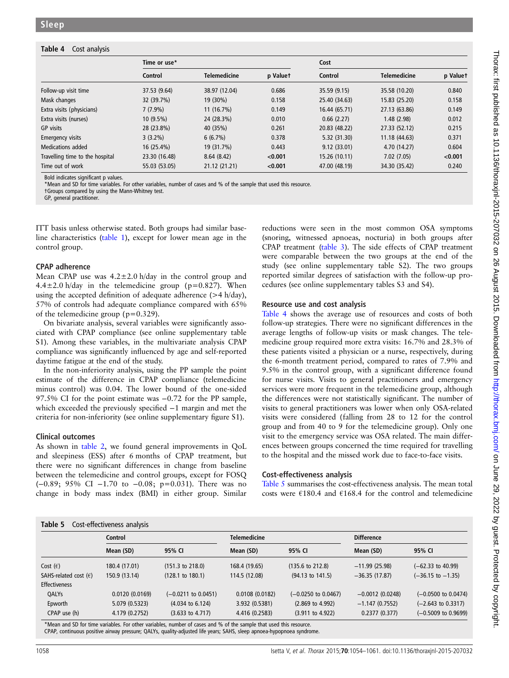## Table 4 Cost analysis

|                                 | Time or use*  |                     |          |               |                     |          |
|---------------------------------|---------------|---------------------|----------|---------------|---------------------|----------|
|                                 | Control       | <b>Telemedicine</b> | p Valuet | Control       | <b>Telemedicine</b> | p Valuet |
| Follow-up visit time            | 37.53 (9.64)  | 38.97 (12.04)       | 0.686    | 35.59 (9.15)  | 35.58 (10.20)       | 0.840    |
| Mask changes                    | 32 (39.7%)    | 19 (30%)            | 0.158    | 25.40 (34.63) | 15.83 (25.20)       | 0.158    |
| Extra visits (physicians)       | $7(7.9\%)$    | $11(16.7\%)$        | 0.149    | 16.44 (65.71) | 27.13 (63.86)       | 0.149    |
| Extra visits (nurses)           | $10(9.5\%)$   | 24 (28.3%)          | 0.010    | 0.66(2.27)    | 1.48(2.98)          | 0.012    |
| GP visits                       | 28 (23.8%)    | 40 (35%)            | 0.261    | 20.83 (48.22) | 27.33 (52.12)       | 0.215    |
| <b>Emergency visits</b>         | $3(3.2\%)$    | $6(6.7\%)$          | 0.378    | 5.32 (31.30)  | 11.18 (44.63)       | 0.371    |
| Medications added               | $16(25.4\%)$  | 19 (31.7%)          | 0.443    | 9.12(33.01)   | 4.70 (14.27)        | 0.604    |
| Travelling time to the hospital | 23.30 (16.48) | 8.64(8.42)          | < 0.001  | 15.26 (10.11) | 7.02(7.05)          | < 0.001  |
| Time out of work                | 55.03 (53.05) | 21.12 (21.21)       | < 0.001  | 47.00 (48.19) | 34.30 (35.42)       | 0.240    |

Bold indicates significant p values.

\*Mean and SD for time variables. For other variables, number of cases and % of the sample that used this resource.

†Groups compared by using the Mann-Whitney test.

GP, general practitioner.

ITT basis unless otherwise stated. Both groups had similar baseline characteristics [\(table 1](#page-2-0)), except for lower mean age in the control group.

#### CPAP adherence

Mean CPAP use was  $4.2 \pm 2.0$  h/day in the control group and 4.4 $\pm$ 2.0 h/day in the telemedicine group (p=0.827). When using the accepted definition of adequate adherence (>4 h/day), 57% of controls had adequate compliance compared with 65% of the telemedicine group ( $p=0.329$ ).

On bivariate analysis, several variables were significantly associated with CPAP compliance (see online supplementary table S1). Among these variables, in the multivariate analysis CPAP compliance was significantly influenced by age and self-reported daytime fatigue at the end of the study.

In the non-inferiority analysis, using the PP sample the point estimate of the difference in CPAP compliance (telemedicine minus control) was 0.04. The lower bound of the one-sided 97.5% CI for the point estimate was −0.72 for the PP sample, which exceeded the previously specified −1 margin and met the criteria for non-inferiority (see online supplementary figure S1).

#### Clinical outcomes

As shown in [table 2,](#page-3-0) we found general improvements in QoL and sleepiness (ESS) after 6 months of CPAP treatment, but there were no significant differences in change from baseline between the telemedicine and control groups, except for FOSQ (−0.89; 95% CI −1.70 to −0.08; p=0.031). There was no change in body mass index (BMI) in either group. Similar

reductions were seen in the most common OSA symptoms (snoring, witnessed apnoeas, nocturia) in both groups after CPAP treatment [\(table 3](#page-3-0)). The side effects of CPAP treatment were comparable between the two groups at the end of the study (see online supplementary table S2). The two groups reported similar degrees of satisfaction with the follow-up procedures (see online supplementary tables S3 and S4).

### Resource use and cost analysis

Table 4 shows the average use of resources and costs of both follow-up strategies. There were no significant differences in the average lengths of follow-up visits or mask changes. The telemedicine group required more extra visits: 16.7% and 28.3% of these patients visited a physician or a nurse, respectively, during the 6-month treatment period, compared to rates of 7.9% and 9.5% in the control group, with a significant difference found for nurse visits. Visits to general practitioners and emergency services were more frequent in the telemedicine group, although the differences were not statistically significant. The number of visits to general practitioners was lower when only OSA-related visits were considered (falling from 28 to 12 for the control group and from 40 to 9 for the telemedicine group). Only one visit to the emergency service was OSA related. The main differences between groups concerned the time required for travelling to the hospital and the missed work due to face-to-face visits.

#### Cost-effectiveness analysis

Table 5 summarises the cost-effectiveness analysis. The mean total costs were  $€180.4$  and  $€168.4$  for the control and telemedicine

#### Table 5 Cost-effectiveness analysis

|                                | <b>Control</b> |                             | Telemedicine   |                                | <b>Difference</b> |                                |  |
|--------------------------------|----------------|-----------------------------|----------------|--------------------------------|-------------------|--------------------------------|--|
|                                | Mean (SD)      | 95% CI                      | Mean (SD)      | 95% CI                         | Mean (SD)         | 95% CI                         |  |
| Cost $(\epsilon)$              | 180.4 (17.01)  | $(151.3 \text{ to } 218.0)$ | 168.4 (19.65)  | $(135.6 \text{ to } 212.8)$    | $-11.99(25.98)$   | $(-62.33$ to 40.99)            |  |
| SAHS-related cost $(\epsilon)$ | 150.9 (13.14)  | $(128.1 \text{ to } 180.1)$ | 114.5 (12.08)  | $(94.13 \text{ to } 141.5)$    | $-36.35(17.87)$   | $(-36.15 \text{ to } -1.35)$   |  |
| <b>Effectiveness</b>           |                |                             |                |                                |                   |                                |  |
| QALYs                          | 0.0120(0.0169) | $(-0.0211$ to 0.0451)       | 0.0108(0.0182) | $(-0.0250 \text{ to } 0.0467)$ | $-0.0012(0.0248)$ | $(-0.0500 \text{ to } 0.0474)$ |  |
| Epworth                        | 5.079 (0.5323) | $(4.034 \text{ to } 6.124)$ | 3.932 (0.5381) | $(2.869 \text{ to } 4.992)$    | $-1.147(0.7552)$  | $(-2.643 \text{ to } 0.3317)$  |  |
| CPAP use (h)                   | 4.179 (0.2752) | $(3.633$ to 4.717)          | 4.416 (0.2583) | $(3.911 \text{ to } 4.922)$    | 0.2377(0.377)     | $(-0.5009$ to 0.9699)          |  |

\*Mean and SD for time variables. For other variables, number of cases and % of the sample that used this resource. CPAP, continuous positive airway pressure; QALYs, quality-adjusted life years; SAHS, sleep apnoea-hypopnoea syndrome.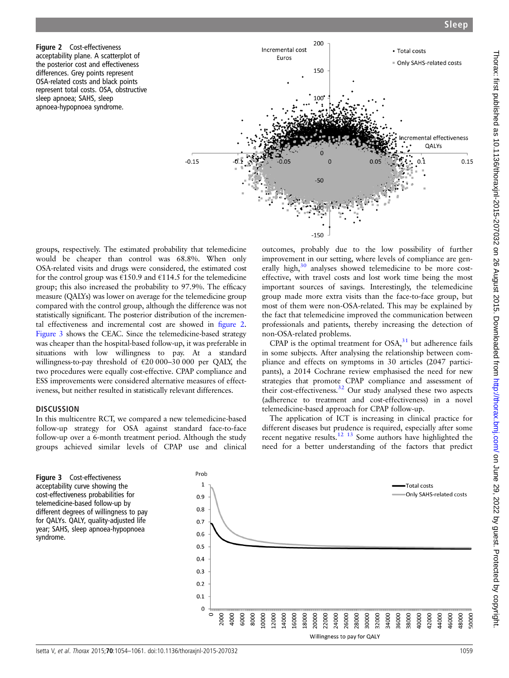Figure 2 Cost-effectiveness acceptability plane. A scatterplot of the posterior cost and effectiveness differences. Grey points represent OSA-related costs and black points represent total costs. OSA, obstructive sleep apnoea; SAHS, sleep apnoea-hypopnoea syndrome.



non-OSA-related problems.

outcomes, probably due to the low possibility of further improvement in our setting, where levels of compliance are gen-erally high,<sup>[30](#page-7-0)</sup> analyses showed telemedicine to be more costeffective, with travel costs and lost work time being the most important sources of savings. Interestingly, the telemedicine group made more extra visits than the face-to-face group, but most of them were non-OSA-related. This may be explained by the fact that telemedicine improved the communication between professionals and patients, thereby increasing the detection of

CPAP is the optimal treatment for  $OSA<sub>31</sub>$  $OSA<sub>31</sub>$  $OSA<sub>31</sub>$  but adherence fails in some subjects. After analysing the relationship between compliance and effects on symptoms in 30 articles (2047 participants), a 2014 Cochrane review emphasised the need for new strategies that promote CPAP compliance and assessment of their cost-effectiveness.[32](#page-7-0) Our study analysed these two aspects (adherence to treatment and cost-effectiveness) in a novel

The application of ICT is increasing in clinical practice for different diseases but prudence is required, especially after some recent negative results.[12 13](#page-7-0) Some authors have highlighted the

groups, respectively. The estimated probability that telemedicine would be cheaper than control was 68.8%. When only OSA-related visits and drugs were considered, the estimated cost for the control group was  $\epsilon$ 150.9 and  $\epsilon$ 114.5 for the telemedicine group; this also increased the probability to 97.9%. The efficacy measure (QALYs) was lower on average for the telemedicine group compared with the control group, although the difference was not statistically significant. The posterior distribution of the incremental effectiveness and incremental cost are showed in figure 2. Figure 3 shows the CEAC. Since the telemedicine-based strategy was cheaper than the hospital-based follow-up, it was preferable in situations with low willingness to pay. At a standard willingness-to-pay threshold of  $\epsilon$ 20 000–30 000 per QALY, the two procedures were equally cost-effective. CPAP compliance and ESS improvements were considered alternative measures of effectiveness, but neither resulted in statistically relevant differences.

## **DISCUSSION**

In this multicentre RCT, we compared a new telemedicine-based follow-up strategy for OSA against standard face-to-face follow-up over a 6-month treatment period. Although the study groups achieved similar levels of CPAP use and clinical

Figure 3 Cost-effectiveness acceptability curve showing the cost-effectiveness probabilities for telemedicine-based follow-up by different degrees of willingness to pay for QALYs. QALY, quality-adjusted life year; SAHS, sleep apnoea-hypopnoea syndrome.

need for a better understanding of the factors that predict Prob  $\overline{1}$ Total costs Only SAHS-related costs  $0.9$  $0.8$  $0.7$  $0.6$  $0.5$  $0.4$  $0.3$  $0.2$  $0.1$  $\mathbf 0$ 16000 22000 24000 28000 38000 10000 12000 18000 50000 8000 0000 20000 26000 30000 32000 34000 36000 14000 18000 Willingness to pay for QALY

telemedicine-based approach for CPAP follow-up.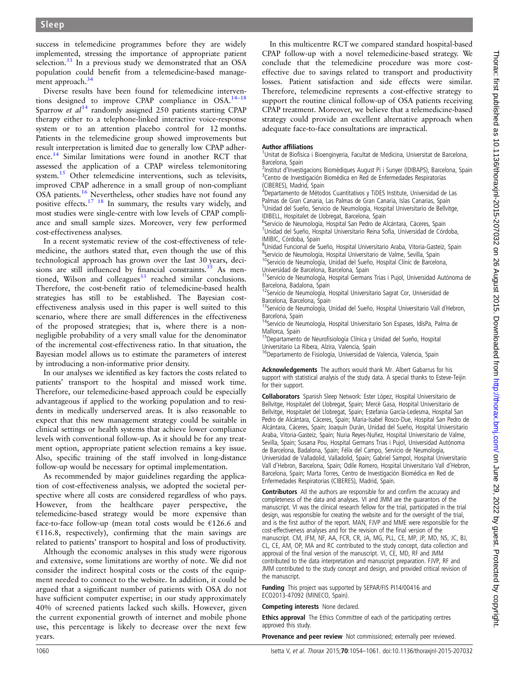success in telemedicine programmes before they are widely implemented, stressing the importance of appropriate patient selection.<sup>[33](#page-7-0)</sup> In a previous study we demonstrated that an OSA population could benefit from a telemedicine-based management approach. $3$ 

Diverse results have been found for telemedicine interven-tions designed to improve CPAP compliance in OSA.<sup>[14](#page-7-0)–18</sup> Sparrow et  $al^{14}$  $al^{14}$  $al^{14}$  randomly assigned 250 patients starting CPAP therapy either to a telephone-linked interactive voice-response system or to an attention placebo control for 12 months. Patients in the telemedicine group showed improvements but result interpretation is limited due to generally low CPAP adherence.[14](#page-7-0) Similar limitations were found in another RCT that assessed the application of a CPAP wireless telemonitoring system.<sup>[15](#page-7-0)</sup> Other telemedicine interventions, such as televisits, improved CPAP adherence in a small group of non-compliant OSA patients.<sup>16</sup> Nevertheless, other studies have not found any positive effects.<sup>17</sup><sup>18</sup> In summary, the results vary widely, and most studies were single-centre with low levels of CPAP compliance and small sample sizes. Moreover, very few performed cost-effectiveness analyses.

In a recent systematic review of the cost-effectiveness of telemedicine, the authors stated that, even though the use of this technological approach has grown over the last 30 years, decisions are still influenced by financial constraints. $35$  As men-tioned, Wilson and colleagues<sup>[33](#page-7-0)</sup> reached similar conclusions. Therefore, the cost-benefit ratio of telemedicine-based health strategies has still to be established. The Bayesian costeffectiveness analysis used in this paper is well suited to this scenario, where there are small differences in the effectiveness of the proposed strategies; that is, where there is a nonnegligible probability of a very small value for the denominator of the incremental cost-effectiveness ratio. In that situation, the Bayesian model allows us to estimate the parameters of interest by introducing a non-informative prior density.

In our analyses we identified as key factors the costs related to patients' transport to the hospital and missed work time. Therefore, our telemedicine-based approach could be especially advantageous if applied to the working population and to residents in medically underserved areas. It is also reasonable to expect that this new management strategy could be suitable in clinical settings or health systems that achieve lower compliance levels with conventional follow-up. As it should be for any treatment option, appropriate patient selection remains a key issue. Also, specific training of the staff involved in long-distance follow-up would be necessary for optimal implementation.

As recommended by major guidelines regarding the application of cost-effectiveness analysis, we adopted the societal perspective where all costs are considered regardless of who pays. However, from the healthcare payer perspective, the telemedicine-based strategy would be more expensive than face-to-face follow-up (mean total costs would be €126.6 and  $£116.8$ , respectively), confirming that the main savings are related to patients' transport to hospital and loss of productivity.

Although the economic analyses in this study were rigorous and extensive, some limitations are worthy of note. We did not consider the indirect hospital costs or the costs of the equipment needed to connect to the website. In addition, it could be argued that a significant number of patients with OSA do not have sufficient computer expertise; in our study approximately 40% of screened patients lacked such skills. However, given the current exponential growth of internet and mobile phone use, this percentage is likely to decrease over the next few years.

In this multicentre RCT we compared standard hospital-based CPAP follow-up with a novel telemedicine-based strategy. We conclude that the telemedicine procedure was more costeffective due to savings related to transport and productivity losses. Patient satisfaction and side effects were similar. Therefore, telemedicine represents a cost-effective strategy to support the routine clinical follow-up of OSA patients receiving CPAP treatment. Moreover, we believe that a telemedicine-based strategy could provide an excellent alternative approach when adequate face-to-face consultations are impractical.

#### Author affiliations <sup>1</sup>

<sup>1</sup>Unitat de Biofísica i Bioenginyeria, Facultat de Medicina, Universitat de Barcelona, Barcelona, Spain

<sup>2</sup>Institut d'Investigacions Biomèdiques August Pi i Sunyer (IDIBAPS), Barcelona, Spain <sup>3</sup>Contro de Investigación Biomédica en Bod de Enfermedades Bespiratorias <sup>3</sup>Centro de Investigación Biomédica en Red de Enfermedades Respiratorias (CIBERES), Madrid, Spain

<sup>4</sup>Departamento de Métodos Cuantitativos y TiDES Institute, Universidad de Las Palmas de Gran Canaria, Las Palmas de Gran Canaria, Islas Canarias, Spain 5 Unidad del Sueño, Servicio de Neumología, Hospital Universitario de Bellvitge, IDIBELL, Hospitalet de Llobregat, Barcelona, Spain

<sup>6</sup>Servicio de Neumología, Hospital San Pedro de Alcántara, Cáceres, Spain 7 Unidad del Sueño, Hospital Universitario Reina Sofía, Universidad de Córdoba, IMIBIC, Córdoba, Spain

8 Unidad Funcional de Sueño, Hospital Universitario Araba, Vitoria-Gasteiz, Spain <sup>9</sup>Servicio de Neumología, Hospital Universitario de Valme, Sevilla, Spain 10Servicio de Neumología, Unidad del Sueño, Hospital Clínic de Barcelona,

Universidad de Barcelona, Barcelona, Spain <sup>11</sup>Servicio de Neumología, Hospital Germans Trias i Pujol, Universidad Autónoma de Barcelona, Badalona, Spain

12Servicio de Neumología, Hospital Universitario Sagrat Cor, Universidad de Barcelona, Barcelona, Spain

13 Servicio de Neumología, Unidad del Sueño, Hospital Universitario Vall d'Hebron, Barcelona, Spain

14Servicio de Neumología, Hospital Universitario Son Espases, IdisPa, Palma de Mallorca, Spain

15Departamento de Neurofisiología Clínica y Unidad del Sueño, Hospital Universitario La Ribera, Alzira, Valencia, Spain

<sup>16</sup>Departamento de Fisiología, Universidad de Valencia, Valencia, Spain

Acknowledgements The authors would thank Mr. Albert Gabarrus for his support with statistical analysis of the study data. A special thanks to Esteve-Teijin for their support.

Collaborators Spanish Sleep Network: Ester López, Hospital Universitario de Bellvitge, Hospitalet del Llobregat, Spain; Mercè Gasa, Hospital Universitario de Bellvitge, Hospitalet del Llobregat, Spain; Estefania García-Ledesma, Hospital San Pedro de Alcántara, Cáceres, Spain; Maria-Isabel Rosco-Due, Hospital San Pedro de Alcántara, Cáceres, Spain; Joaquín Durán, Unidad del Sueño, Hospital Universitario Araba, Vitoria-Gasteiz, Spain; Nuria Reyes-Nuñez, Hospital Universitario de Valme, Sevilla, Spain; Susana Pou, Hospital Germans Trias i Pujol, Universidad Autónoma de Barcelona, Badalona, Spain; Félix del Campo, Servicio de Neumología, Universidad de Valladolid, Valladolid, Spain; Gabriel Sampol, Hospital Universitario Vall d'Hebron, Barcelona, Spain; Odile Romero, Hospital Universitario Vall d'Hebron, Barcelona, Spain; Marta Torres, Centro de Investigación Biomédica en Red de Enfermedades Respiratorias (CIBERES), Madrid, Spain.

Contributors All the authors are responsible for and confirm the accuracy and completeness of the data and analyses. VI and JMM are the guarantors of the manuscript. VI was the clinical research fellow for the trial, participated in the trial design, was responsible for creating the website and for the oversight of the trial, and is the first author of the report. MAN, FJVP and MME were responsible for the cost-effectiveness analyses and for the revision of the final version of the manuscript. CM, JFM, NF, AA, FCR, CR, JA, MG, PLL, CE, MP, JP, MD, NS, JC, BJ, CL, CE, AM, OP, MA and RC contributed to the study concept, data collection and approval of the final version of the manuscript. VI, CE, MD, RF and JMM contributed to the data interpretation and manuscript preparation. FJVP, RF and JMM contributed to the study concept and design, and provided critical revision of the manuscript.

Funding This project was supported by SEPAR/FIS PI14/00416 and ECO2013-47092 (MINECO, Spain).

Competing interests None declared.

**Ethics approval** The Ethics Committee of each of the participating centres approved this study.

**Provenance and peer review** Not commissioned; externally peer reviewed.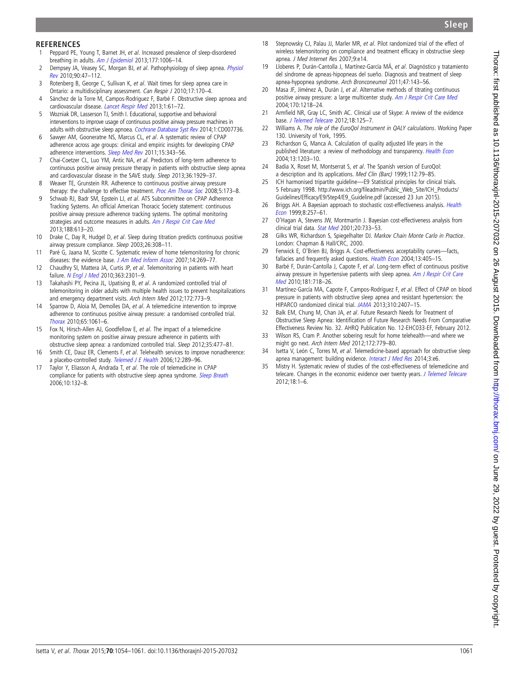#### <span id="page-7-0"></span>**REFERENCES**

- Peppard PE, Young T, Barnet JH, et al. Increased prevalence of sleep-disordered breathing in adults. [Am J Epidemiol](http://dx.doi.org/10.1093/aje/kws342) 2013;177:1006-14.
- 2 Dempsey JA, Veasey SC, Morgan BJ, et al. Pathophysiology of sleep apnea. [Physiol](http://dx.doi.org/10.1152/physrev.00043.2008) [Rev](http://dx.doi.org/10.1152/physrev.00043.2008) 2010;90:47–112.
- 3 Rotenberg B, George C, Sullivan K, et al. Wait times for sleep apnea care in Ontario: a multidisciplinary assessment. Can Respir J 2010;17:170-4.
- 4 Sánchez de la Torre M, Campos-Rodriguez F, Barbé F. Obstructive sleep apnoea and cardiovascular disease. [Lancet Respir Med](http://dx.doi.org/10.1016/S2213-2600(12)70051-6) 2013;1:61–72.
- 5 Wozniak DR, Lasserson TJ, Smith I. Educational, supportive and behavioral interventions to improve usage of continuous positive airway pressure machines in adults with obstructive sleep apnoea. [Cochrane Database Syst Rev](http://dx.doi.org/10.1002/14651858.CD007736.pub2) 2014;1:CD007736.
- 6 Sawyer AM, Gooneratne NS, Marcus CL, et al. A systematic review of CPAP adherence across age groups: clinical and empiric insights for developing CPAP adherence interventions. [Sleep Med Rev](http://dx.doi.org/10.1016/j.smrv.2011.01.003) 2011;15:343-56.
- 7 Chai-Coetzer CL, Luo YM, Antic NA, et al. Predictors of long-term adherence to continuous positive airway pressure therapy in patients with obstructive sleep apnea and cardiovascular disease in the SAVE study. Sleep 2013;36:1929–37.
- 8 Weaver TE, Grunstein RR. Adherence to continuous positive airway pressure therapy: the challenge to effective treatment. [Proc Am Thorac Soc](http://dx.doi.org/10.1513/pats.200708-119MG) 2008;5:173-8.
- 9 Schwab RJ, Badr SM, Epstein LJ, et al. ATS Subcommittee on CPAP Adherence Tracking Systems. An official American Thoracic Society statement: continuous positive airway pressure adherence tracking systems. The optimal monitoring strategies and outcome measures in adults. [Am J Respir Crit Care Med](http://dx.doi.org/10.1164/rccm.201307-1282ST) 2013;188:613–20.
- 10 Drake C, Day R, Hudgel D, et al. Sleep during titration predicts continuous positive airway pressure compliance. Sleep 2003;26:308–11.
- 11 Paré G, Jaana M, Sicotte C. Systematic review of home telemonitoring for chronic diseases: the evidence base. [J Am Med Inform Assoc](http://dx.doi.org/10.1197/jamia.M2270) 2007;14:269–77.
- 12 Chaudhry SI, Mattera JA, Curtis JP, et al. Telemonitoring in patients with heart failure. [N Engl J Med](http://dx.doi.org/10.1056/NEJMoa1010029) 2010;363:2301-9.
- 13 Takahashi PY, Pecina JL, Upatising B, et al. A randomized controlled trial of telemonitoring in older adults with multiple health issues to prevent hospitalizations and emergency department visits. Arch Intern Med 2012;172:773–9.
- 14 Sparrow D, Aloia M, Demolles DA, et al. A telemedicine intervention to improve adherence to continuous positive airway pressure: a randomised controlled trial. [Thorax](http://dx.doi.org/10.1136/thx.2009.133215) 2010;65:1061–6.
- 15 Fox N, Hirsch-Allen AJ, Goodfellow E, et al. The impact of a telemedicine monitoring system on positive airway pressure adherence in patients with obstructive sleep apnea: a randomized controlled trial. Sleep 2012;35:477–81.
- 16 Smith CE, Dauz ER, Clements F, et al. Telehealth services to improve nonadherence: a placebo-controlled study. [Telemed J E Health](http://dx.doi.org/10.1089/tmj.2006.12.289) 2006;12:289-96.
- 17 Taylor Y, Eliasson A, Andrada T, et al. The role of telemedicine in CPAP compliance for patients with obstructive sleep apnea syndrome. [Sleep Breath](http://dx.doi.org/10.1007/s11325-006-0059-9) 2006;10:132–8.
- Stepnowsky CJ, Palau JJ, Marler MR, et al. Pilot randomized trial of the effect of wireless telemonitoring on compliance and treatment efficacy in obstructive sleep apnea. J Med Internet Res 2007;9:e14.
- 19 Lloberes P, Durán-Cantolla J, Martínez-García MÁ, et al. Diagnóstico y tratamiento del síndrome de apneas-hipopneas del sueño. Diagnosis and treatment of sleep apnea-hypopnea syndrome. Arch Bronconeumol 2011;47:143–56.
- 20 Masa JF, Jiménez A, Durán J, et al. Alternative methods of titrating continuous positive airway pressure: a large multicenter study. [Am J Respir Crit Care Med](http://dx.doi.org/10.1164/rccm.200312-1787OC) 2004;170:1218–24.
- 21 Armfield NR, Gray LC, Smith AC. Clinical use of Skype: A review of the evidence base. [J Telemed Telecare](http://dx.doi.org/10.1258/jtt.2012.SFT101) 2012;18:125–7.
- 22 Williams A. The role of the EuroQol Instrument in QALY calculations. Working Paper 130. University of York, 1995.
- 23 Richardson G, Manca A. Calculation of quality adjusted life years in the published literature: a review of methodology and transparency. [Health Econ](http://dx.doi.org/10.1002/hec.901) 2004;13:1203–10.
- 24 Badia X, Roset M, Montserrat S, et al. The Spanish version of EuroQol: a description and its applications. Med Clin (Barc) 1999;112:79–85.
- 25 ICH harmonised tripartite guideline—E9 Statistical principles for clinical trials. 5 February 1998. [http:/](http://www.ich.org/fileadmin/Public_Web_Site/ICH_Products/Guidelines/Efficacy/E9/Step4/E9_Guideline.pdf)/www.ich.org/fi[leadmin/Public\\_Web\\_Site/ICH\\_Products/](http://www.ich.org/fileadmin/Public_Web_Site/ICH_Products/Guidelines/Efficacy/E9/Step4/E9_Guideline.pdf) Guidelines/Effi[cacy/E9/Step4/E9\\_Guideline.pdf](http://www.ich.org/fileadmin/Public_Web_Site/ICH_Products/Guidelines/Efficacy/E9/Step4/E9_Guideline.pdf) (accessed 23 Jun 2015).
- 26 Briggs AH. A Bayesian approach to stochastic cost-effectiveness analysis. [Health](http://dx.doi.org/10.1002/(SICI)1099-1050(199905)8:3<257::AID-HEC427>3.0.CO;2-E) [Econ](http://dx.doi.org/10.1002/(SICI)1099-1050(199905)8:3<257::AID-HEC427>3.0.CO;2-E) 1999;8:257–61.
- 27 O'Hagan A, Stevens JW, Montmartin J. Bayesian cost-effectiveness analysis from clinical trial data. [Stat Med](http://dx.doi.org/10.1002/sim.861) 2001;20:733-53.
- 28 Gilks WR, Richardson S, Spiegelhalter DJ. Markov Chain Monte Carlo in Practice. London: Chapman & Hall/CRC, 2000.
- 29 Fenwick E, O'Brien BJ, Briggs A. Cost-effectiveness acceptability curves—facts, fallacies and frequently asked questions. [Health Econ](http://dx.doi.org/10.1002/hec.903) 2004;13:405-15.
- 30 Barbé F, Durán-Cantolla J, Capote F, et al. Long-term effect of continuous positive airway pressure in hypertensive patients with sleep apnea. [Am J Respir Crit Care](http://dx.doi.org/10.1164/rccm.200901-0050OC) [Med](http://dx.doi.org/10.1164/rccm.200901-0050OC) 2010;181:718–26.
- 31 Martínez-García MA, Capote F, Campos-Rodríguez F, et al. Effect of CPAP on blood pressure in patients with obstructive sleep apnea and resistant hypertension: the HIPARCO randomized clinical trial. [JAMA](http://dx.doi.org/10.1001/jama.2013.281250) 2013;310:2407–15.
- 32 Balk EM, Chung M, Chan JA, et al. Future Research Needs for Treatment of Obstructive Sleep Apnea: Identification of Future Research Needs From Comparative Effectiveness Review No. 32. AHRQ Publication No. 12-EHC033-EF, February 2012.
- 33 Wilson RS, Cram P. Another sobering result for home telehealth—and where we might go next. Arch Intern Med 2012;172:779–80.
- 34 Isetta V, León C, Torres M, et al. Telemedicine-based approach for obstructive sleep apnea management: building evidence. [Interact J Med Res](http://dx.doi.org/10.2196/ijmr.3060) 2014;3:e6.
- 35 Mistry H. Systematic review of studies of the cost-effectiveness of telemedicine and telecare. Changes in the economic evidence over twenty years. [J Telemed Telecare](http://dx.doi.org/10.1258/jtt.2011.110505) 2012;18:1–6.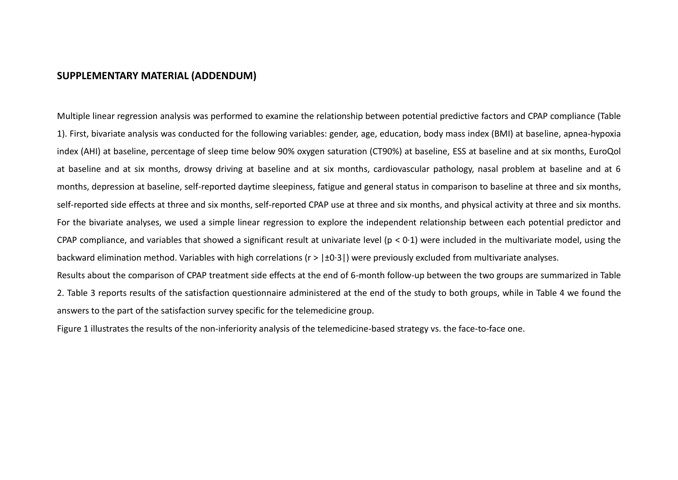## **SUPPLEMENTARY MATERIAL (ADDENDUM)**

Multiple linear regression analysis was performed to examine the relationship between potential predictive factors and CPAP compliance (Table 1). First, bivariate analysis was conducted for the following variables: gender, age, education, body mass index (BMI) at baseline, apnea-hypoxia index (AHI) at baseline, percentage of sleep time below 90% oxygen saturation (CT90%) at baseline, ESS at baseline and at six months, EuroQol at baseline and at six months, drowsy driving at baseline and at six months, cardiovascular pathology, nasal problem at baseline and at 6 months, depression at baseline, self-reported daytime sleepiness, fatigue and general status in comparison to baseline at three and six months, self-reported side effects at three and six months, self-reported CPAP use at three and six months, and physical activity at three and six months. For the bivariate analyses, we used a simple linear regression to explore the independent relationship between each potential predictor and CPAP compliance, and variables that showed a significant result at univariate level ( $p < 0.1$ ) were included in the multivariate model, using the backward elimination method. Variables with high correlations  $(r > |±0.3|)$  were previously excluded from multivariate analyses. Results about the comparison of CPAP treatment side effects at the end of 6-month follow-up between the two groups are summarized in Table

2. Table 3 reports results of the satisfaction questionnaire administered at the end of the study to both groups, while in Table 4 we found the answers to the part of the satisfaction survey specific for the telemedicine group.

Figure 1 illustrates the results of the non-inferiority analysis of the telemedicine-based strategy vs. the face-to-face one.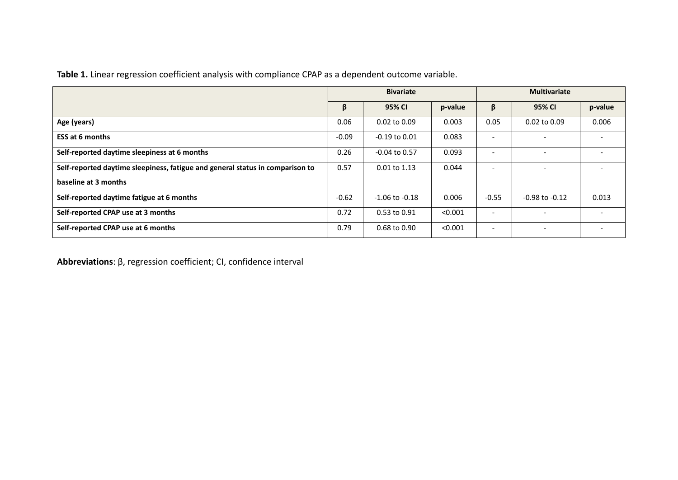**Table 1.** Linear regression coefficient analysis with compliance CPAP as a dependent outcome variable.

|                                                                               | <b>Bivariate</b> |                         |         | <b>Multivariate</b>      |                          |         |  |
|-------------------------------------------------------------------------------|------------------|-------------------------|---------|--------------------------|--------------------------|---------|--|
|                                                                               | β                | 95% CI                  | p-value | β                        | 95% CI                   | p-value |  |
| Age (years)                                                                   | 0.06             | $0.02$ to $0.09$        | 0.003   | 0.05                     | $0.02$ to $0.09$         | 0.006   |  |
| <b>ESS at 6 months</b>                                                        | $-0.09$          | $-0.19$ to $0.01$       | 0.083   | $\overline{\phantom{0}}$ | $\overline{\phantom{0}}$ |         |  |
| Self-reported daytime sleepiness at 6 months                                  | 0.26             | $-0.04$ to 0.57         | 0.093   | $\overline{\phantom{0}}$ | $\overline{\phantom{0}}$ |         |  |
| Self-reported daytime sleepiness, fatigue and general status in comparison to | 0.57             | $0.01$ to $1.13$        | 0.044   | $\overline{\phantom{a}}$ | $\overline{\phantom{a}}$ |         |  |
| baseline at 3 months                                                          |                  |                         |         |                          |                          |         |  |
| Self-reported daytime fatigue at 6 months                                     | $-0.62$          | $-1.06$ to $-0.18$      | 0.006   | $-0.55$                  | $-0.98$ to $-0.12$       | 0.013   |  |
| Self-reported CPAP use at 3 months                                            | 0.72             | 0.53 to 0.91            | < 0.001 | $\overline{\phantom{a}}$ | $\overline{\phantom{a}}$ |         |  |
| Self-reported CPAP use at 6 months                                            | 0.79             | $0.68 \text{ to } 0.90$ | < 0.001 | $\overline{\phantom{a}}$ | $\overline{\phantom{0}}$ |         |  |

**Abbreviations**: β, regression coefficient; CI, confidence interval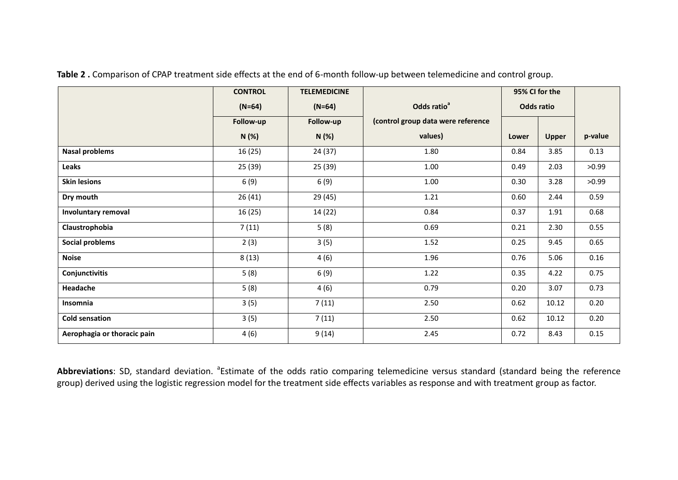|                             | <b>CONTROL</b> | <b>TELEMEDICINE</b> |                                    |       | 95% CI for the    |         |
|-----------------------------|----------------|---------------------|------------------------------------|-------|-------------------|---------|
|                             | $(N=64)$       | $(N=64)$            | Odds ratio <sup>ª</sup>            |       | <b>Odds ratio</b> |         |
|                             | Follow-up      | Follow-up           | (control group data were reference |       |                   |         |
|                             | N (%)          | N (%)               | values)                            | Lower | <b>Upper</b>      | p-value |
| <b>Nasal problems</b>       | 16 (25)        | 24 (37)             | 1.80                               | 0.84  | 3.85              | 0.13    |
| Leaks                       | 25(39)         | 25(39)              | 1.00                               | 0.49  | 2.03              | >0.99   |
| <b>Skin lesions</b>         | 6(9)           | 6(9)                | 1.00                               | 0.30  | 3.28              | >0.99   |
| Dry mouth                   | 26(41)         | 29 (45)             | 1.21                               | 0.60  | 2.44              | 0.59    |
| <b>Involuntary removal</b>  | 16 (25)        | 14 (22)             | 0.84                               | 0.37  | 1.91              | 0.68    |
| Claustrophobia              | 7(11)          | 5(8)                | 0.69                               | 0.21  | 2.30              | 0.55    |
| <b>Social problems</b>      | 2(3)           | 3(5)                | 1.52                               | 0.25  | 9.45              | 0.65    |
| <b>Noise</b>                | 8(13)          | 4(6)                | 1.96                               | 0.76  | 5.06              | 0.16    |
| Conjunctivitis              | 5(8)           | 6(9)                | 1.22                               | 0.35  | 4.22              | 0.75    |
| Headache                    | 5(8)           | 4(6)                | 0.79                               | 0.20  | 3.07              | 0.73    |
| Insomnia                    | 3(5)           | 7(11)               | 2.50                               | 0.62  | 10.12             | 0.20    |
| <b>Cold sensation</b>       | 3(5)           | 7(11)               | 2.50                               | 0.62  | 10.12             | 0.20    |
| Aerophagia or thoracic pain | 4(6)           | 9(14)               | 2.45                               | 0.72  | 8.43              | 0.15    |

**Table 2 .** Comparison of CPAP treatment side effects at the end of 6-month follow-up between telemedicine and control group.

Abbreviations: SD, standard deviation. <sup>a</sup>Estimate of the odds ratio comparing telemedicine versus standard (standard being the reference group) derived using the logistic regression model for the treatment side effects variables as response and with treatment group as factor.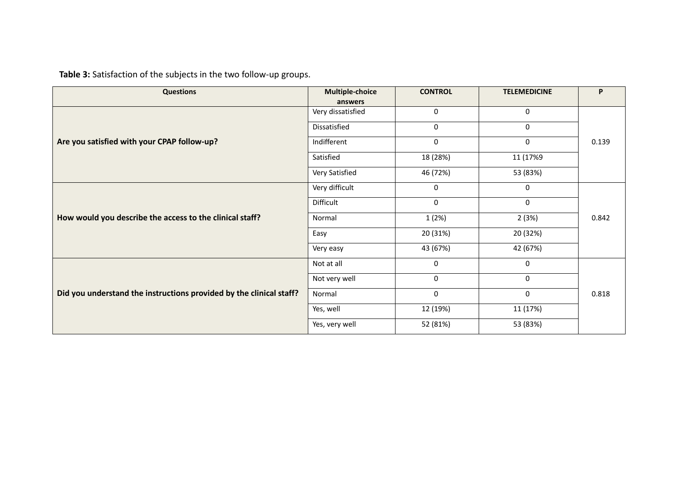**Table 3:** Satisfaction of the subjects in the two follow-up groups.

| <b>Questions</b>                                                    | <b>Multiple-choice</b><br>answers | <b>CONTROL</b>   | <b>TELEMEDICINE</b> | P     |
|---------------------------------------------------------------------|-----------------------------------|------------------|---------------------|-------|
|                                                                     | Very dissatisfied                 | $\boldsymbol{0}$ | $\mathbf 0$         |       |
|                                                                     | Dissatisfied                      | 0                | 0                   |       |
| Are you satisfied with your CPAP follow-up?                         | Indifferent                       | 0                | $\mathbf 0$         | 0.139 |
|                                                                     | Satisfied                         | 18 (28%)         | 11 (17%9            |       |
|                                                                     | Very Satisfied                    | 46 (72%)         | 53 (83%)            |       |
|                                                                     | Very difficult                    | 0                | 0                   |       |
|                                                                     | Difficult                         | 0                | 0                   |       |
| How would you describe the access to the clinical staff?            | Normal                            | 1(2%)            | 2(3%)               | 0.842 |
|                                                                     | Easy                              | 20 (31%)         | 20 (32%)            |       |
|                                                                     | Very easy                         | 43 (67%)         | 42 (67%)            |       |
|                                                                     | Not at all                        | 0                | 0                   |       |
|                                                                     | Not very well                     | 0                | $\mathbf 0$         |       |
| Did you understand the instructions provided by the clinical staff? | Normal                            | $\mathbf 0$      | $\mathbf 0$         | 0.818 |
|                                                                     | Yes, well                         | 12 (19%)         | 11 (17%)            |       |
|                                                                     | Yes, very well                    | 52 (81%)         | 53 (83%)            |       |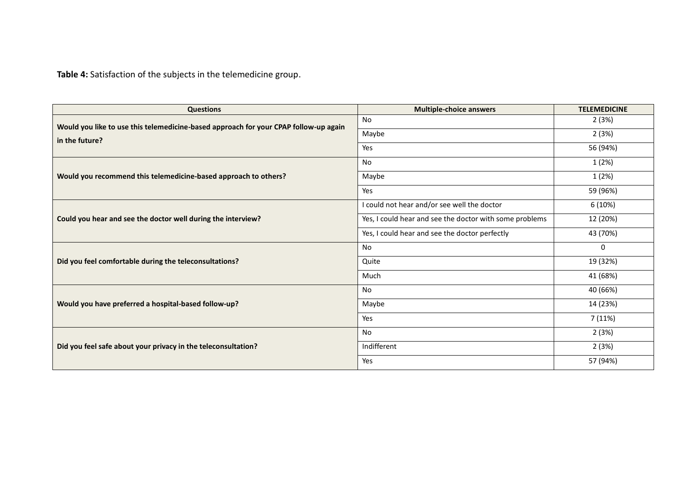**Table 4:** Satisfaction of the subjects in the telemedicine group.

| <b>Questions</b>                                                                     | <b>Multiple-choice answers</b>                          | <b>TELEMEDICINE</b> |
|--------------------------------------------------------------------------------------|---------------------------------------------------------|---------------------|
| Would you like to use this telemedicine-based approach for your CPAP follow-up again | <b>No</b>                                               | 2(3%)               |
| in the future?                                                                       | Maybe                                                   | 2(3%)               |
|                                                                                      | Yes                                                     | 56 (94%)            |
|                                                                                      | <b>No</b>                                               | 1(2%)               |
| Would you recommend this telemedicine-based approach to others?                      | Maybe                                                   | 1(2%)               |
|                                                                                      | Yes                                                     | 59 (96%)            |
|                                                                                      | I could not hear and/or see well the doctor             | 6 (10%)             |
| Could you hear and see the doctor well during the interview?                         | Yes, I could hear and see the doctor with some problems | 12 (20%)            |
|                                                                                      | Yes, I could hear and see the doctor perfectly          | 43 (70%)            |
|                                                                                      | <b>No</b>                                               | 0                   |
| Did you feel comfortable during the teleconsultations?                               | Quite                                                   | 19 (32%)            |
|                                                                                      | Much                                                    | 41 (68%)            |
|                                                                                      | <b>No</b>                                               | 40 (66%)            |
| Would you have preferred a hospital-based follow-up?                                 | Maybe                                                   | 14 (23%)            |
|                                                                                      | Yes                                                     | 7 (11%)             |
|                                                                                      | <b>No</b>                                               | 2(3%)               |
| Did you feel safe about your privacy in the teleconsultation?                        | Indifferent                                             | 2(3%)               |
|                                                                                      | Yes                                                     | 57 (94%)            |